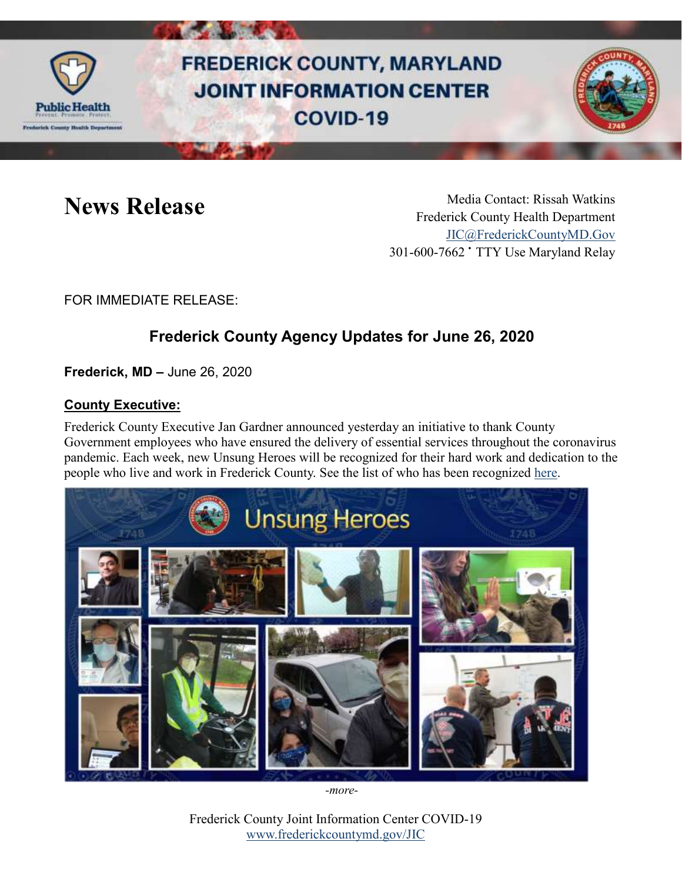

# **FREDERICK COUNTY, MARYLAND JOINT INFORMATION CENTER** COVID-19



News Release Media Contact: Rissah Watkins Frederick County Health Department [JIC@FrederickCountyMD.Gov](mailto:JIC@FrederickCountyMD.Gov) 301-600-7662 • TTY Use Maryland Relay

FOR IMMEDIATE RELEASE:

## **Frederick County Agency Updates for June 26, 2020**

**Frederick, MD –** June 26, 2020

#### **County Executive:**

Frederick County Executive Jan Gardner announced yesterday an initiative to thank County Government employees who have ensured the delivery of essential services throughout the coronavirus pandemic. Each week, new Unsung Heroes will be recognized for their hard work and dedication to the people who live and work in Frederick County. See the list of who has been recognized [here.](https://www.frederickcountymd.gov/CivicAlerts.aspx?AID=4608)



*-more-*

Frederick County Joint Information Center COVID-19 [www.frederickcountymd.gov/JIC](https://frederickcountymd.gov/JIC)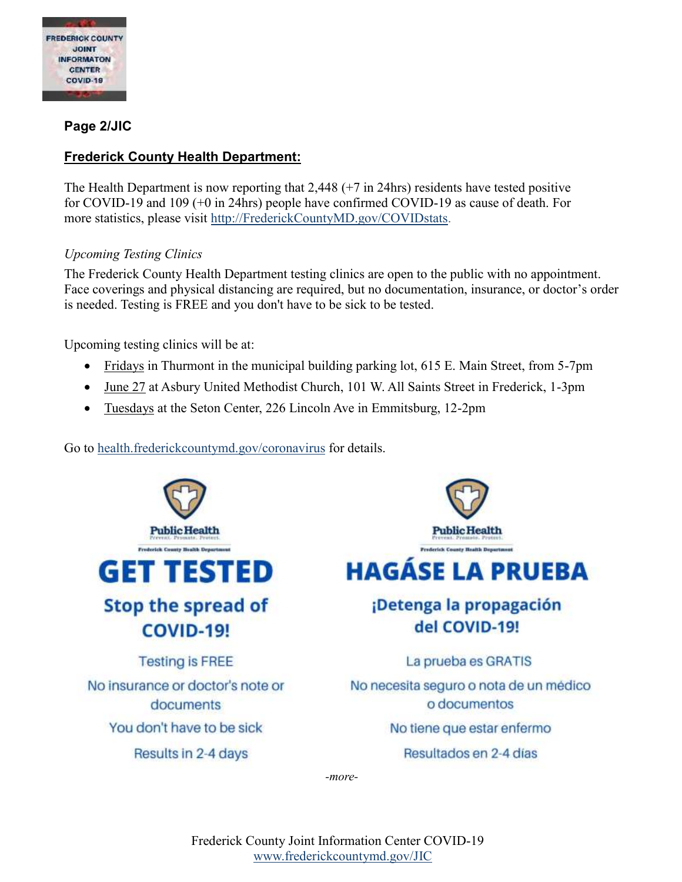

#### **Page 2/JIC**

#### **Frederick County Health Department:**

The Health Department is now reporting that 2,448 (+7 in 24hrs) residents have tested positive for COVID-19 and 109 (+0 in 24hrs) people have confirmed COVID-19 as cause of death. For more statistics, please visit [http://FrederickCountyMD.gov/COVIDstats.](http://frederickcountymd.gov/COVIDstats)

#### *Upcoming Testing Clinics*

The Frederick County Health Department testing clinics are open to the public with no appointment. Face coverings and physical distancing are required, but no documentation, insurance, or doctor's order is needed. Testing is FREE and you don't have to be sick to be tested.

Upcoming testing clinics will be at:

- Fridays in Thurmont in the municipal building parking lot, 615 E. Main Street, from 5-7pm
- June 27 at Asbury United Methodist Church, 101 W. All Saints Street in Frederick, 1-3pm
- Tuesdays at the Seton Center, 226 Lincoln Ave in Emmitsburg, 12-2pm

Go to [health.frederickcountymd.gov/coronavirus](https://health.frederickcountymd.gov/614/Novel-Coronavirus-COVID-19) for details.



*-more-*